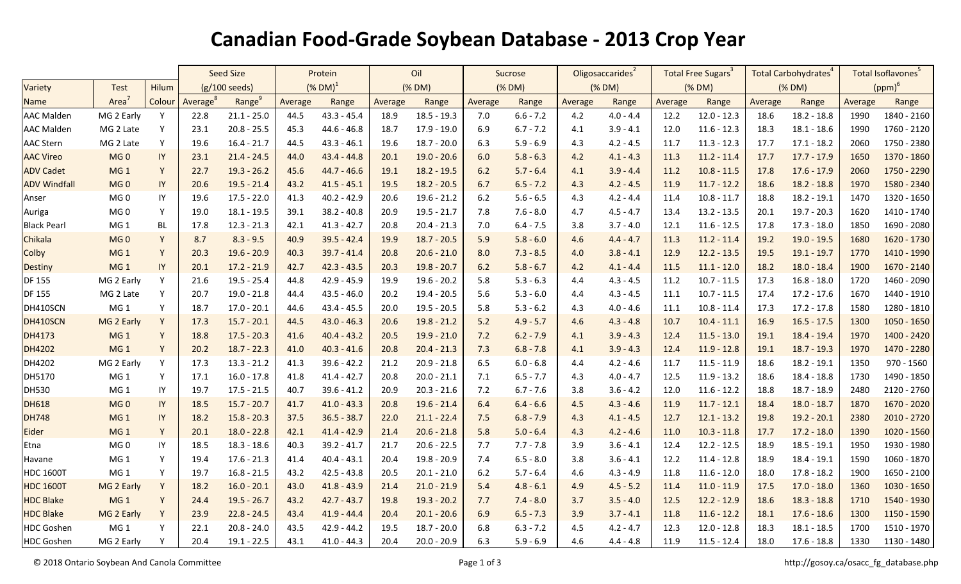## **Canadian Food-Grade Soybean Database - 2013 Crop Year**

|                     |                   |        | <b>Seed Size</b>        |                    | Protein                |               | Oil     |               | Sucrose |             | Oligosaccarides <sup>2</sup> |             | Total Free Sugars <sup>3</sup> |               | Total Carbohydrates <sup>4</sup> |               | Total Isoflavones <sup>5</sup> |               |  |
|---------------------|-------------------|--------|-------------------------|--------------------|------------------------|---------------|---------|---------------|---------|-------------|------------------------------|-------------|--------------------------------|---------------|----------------------------------|---------------|--------------------------------|---------------|--|
| Variety             | <b>Test</b>       | Hilum  | $(g/100 \text{ seeds})$ |                    | $(\%$ DM) <sup>1</sup> |               | (% DM)  |               | (% DM)  |             |                              | (% DM)      |                                | (% DM)        |                                  | (% DM)        |                                | $(ppm)^6$     |  |
| <b>Name</b>         | Area <sup>7</sup> | Colour | Average <sup>®</sup>    | Range <sup>9</sup> | Average                | Range         | Average | Range         | Average | Range       | Average                      | Range       | Average                        | Range         | Average                          | Range         | Average                        | Range         |  |
| <b>AAC Malden</b>   | MG 2 Early        | Y      | 22.8                    | $21.1 - 25.0$      | 44.5                   | $43.3 - 45.4$ | 18.9    | $18.5 - 19.3$ | 7.0     | $6.6 - 7.2$ | 4.2                          | $4.0 - 4.4$ | 12.2                           | $12.0 - 12.3$ | 18.6                             | $18.2 - 18.8$ | 1990                           | 1840 - 2160   |  |
| <b>AAC Malden</b>   | MG 2 Late         | Y      | 23.1                    | $20.8 - 25.5$      | 45.3                   | $44.6 - 46.8$ | 18.7    | $17.9 - 19.0$ | 6.9     | $6.7 - 7.2$ | 4.1                          | $3.9 - 4.1$ | 12.0                           | $11.6 - 12.3$ | 18.3                             | $18.1 - 18.6$ | 1990                           | 1760 - 2120   |  |
| <b>AAC Stern</b>    | MG 2 Late         | Υ      | 19.6                    | $16.4 - 21.7$      | 44.5                   | $43.3 - 46.1$ | 19.6    | $18.7 - 20.0$ | 6.3     | $5.9 - 6.9$ | 4.3                          | $4.2 - 4.5$ | 11.7                           | $11.3 - 12.3$ | 17.7                             | $17.1 - 18.2$ | 2060                           | 1750 - 2380   |  |
| <b>AAC Vireo</b>    | MG <sub>0</sub>   | IY     | 23.1                    | $21.4 - 24.5$      | 44.0                   | $43.4 - 44.8$ | 20.1    | $19.0 - 20.6$ | 6.0     | $5.8 - 6.3$ | 4.2                          | $4.1 - 4.3$ | 11.3                           | $11.2 - 11.4$ | 17.7                             | $17.7 - 17.9$ | 1650                           | 1370 - 1860   |  |
| <b>ADV Cadet</b>    | MG <sub>1</sub>   | Y      | 22.7                    | $19.3 - 26.2$      | 45.6                   | $44.7 - 46.6$ | 19.1    | $18.2 - 19.5$ | 6.2     | $5.7 - 6.4$ | 4.1                          | $3.9 - 4.4$ | 11.2                           | $10.8 - 11.5$ | 17.8                             | $17.6 - 17.9$ | 2060                           | 1750 - 2290   |  |
| <b>ADV Windfall</b> | MG <sub>0</sub>   | IY     | 20.6                    | $19.5 - 21.4$      | 43.2                   | $41.5 - 45.1$ | 19.5    | $18.2 - 20.5$ | 6.7     | $6.5 - 7.2$ | 4.3                          | $4.2 - 4.5$ | 11.9                           | $11.7 - 12.2$ | 18.6                             | $18.2 - 18.8$ | 1970                           | 1580 - 2340   |  |
| Anser               | MG <sub>0</sub>   | IY     | 19.6                    | $17.5 - 22.0$      | 41.3                   | $40.2 - 42.9$ | 20.6    | $19.6 - 21.2$ | $6.2\,$ | $5.6 - 6.5$ | 4.3                          | $4.2 - 4.4$ | 11.4                           | $10.8 - 11.7$ | 18.8                             | $18.2 - 19.1$ | 1470                           | 1320 - 1650   |  |
| Auriga              | MG <sub>0</sub>   | Y      | 19.0                    | $18.1 - 19.5$      | 39.1                   | $38.2 - 40.8$ | 20.9    | $19.5 - 21.7$ | 7.8     | $7.6 - 8.0$ | 4.7                          | $4.5 - 4.7$ | 13.4                           | $13.2 - 13.5$ | 20.1                             | $19.7 - 20.3$ | 1620                           | 1410 - 1740   |  |
| <b>Black Pearl</b>  | MG <sub>1</sub>   | BL     | 17.8                    | $12.3 - 21.3$      | 42.1                   | $41.3 - 42.7$ | 20.8    | $20.4 - 21.3$ | 7.0     | $6.4 - 7.5$ | 3.8                          | $3.7 - 4.0$ | 12.1                           | $11.6 - 12.5$ | 17.8                             | $17.3 - 18.0$ | 1850                           | 1690 - 2080   |  |
| Chikala             | MG <sub>0</sub>   | Y      | 8.7                     | $8.3 - 9.5$        | 40.9                   | $39.5 - 42.4$ | 19.9    | $18.7 - 20.5$ | 5.9     | $5.8 - 6.0$ | 4.6                          | $4.4 - 4.7$ | 11.3                           | $11.2 - 11.4$ | 19.2                             | $19.0 - 19.5$ | 1680                           | 1620 - 1730   |  |
| Colby               | MG <sub>1</sub>   | Y      | 20.3                    | $19.6 - 20.9$      | 40.3                   | $39.7 - 41.4$ | 20.8    | $20.6 - 21.0$ | 8.0     | $7.3 - 8.5$ | 4.0                          | $3.8 - 4.1$ | 12.9                           | $12.2 - 13.5$ | 19.5                             | $19.1 - 19.7$ | 1770                           | 1410 - 1990   |  |
| <b>Destiny</b>      | MG <sub>1</sub>   | IY     | 20.1                    | $17.2 - 21.9$      | 42.7                   | $42.3 - 43.5$ | 20.3    | $19.8 - 20.7$ | 6.2     | $5.8 - 6.7$ | 4.2                          | $4.1 - 4.4$ | 11.5                           | $11.1 - 12.0$ | 18.2                             | $18.0 - 18.4$ | 1900                           | 1670 - 2140   |  |
| <b>DF 155</b>       | MG 2 Early        | Y      | 21.6                    | $19.5 - 25.4$      | 44.8                   | $42.9 - 45.9$ | 19.9    | $19.6 - 20.2$ | 5.8     | $5.3 - 6.3$ | 4.4                          | $4.3 - 4.5$ | 11.2                           | $10.7 - 11.5$ | 17.3                             | $16.8 - 18.0$ | 1720                           | 1460 - 2090   |  |
| <b>DF 155</b>       | MG 2 Late         | Y      | 20.7                    | $19.0 - 21.8$      | 44.4                   | $43.5 - 46.0$ | 20.2    | $19.4 - 20.5$ | 5.6     | $5.3 - 6.0$ | 4.4                          | $4.3 - 4.5$ | 11.1                           | $10.7 - 11.5$ | 17.4                             | $17.2 - 17.6$ | 1670                           | 1440 - 1910   |  |
| DH410SCN            | MG <sub>1</sub>   | Y      | 18.7                    | $17.0 - 20.1$      | 44.6                   | $43.4 - 45.5$ | 20.0    | $19.5 - 20.5$ | 5.8     | $5.3 - 6.2$ | 4.3                          | $4.0 - 4.6$ | 11.1                           | $10.8 - 11.4$ | 17.3                             | $17.2 - 17.8$ | 1580                           | 1280 - 1810   |  |
| DH410SCN            | MG 2 Early        | Y      | 17.3                    | $15.7 - 20.1$      | 44.5                   | $43.0 - 46.3$ | 20.6    | $19.8 - 21.2$ | 5.2     | $4.9 - 5.7$ | 4.6                          | $4.3 - 4.8$ | 10.7                           | $10.4 - 11.1$ | 16.9                             | $16.5 - 17.5$ | 1300                           | $1050 - 1650$ |  |
| <b>DH4173</b>       | MG <sub>1</sub>   | Y      | 18.8                    | $17.5 - 20.3$      | 41.6                   | $40.4 - 43.2$ | 20.5    | $19.9 - 21.0$ | 7.2     | $6.2 - 7.9$ | 4.1                          | $3.9 - 4.3$ | 12.4                           | $11.5 - 13.0$ | 19.1                             | $18.4 - 19.4$ | 1970                           | 1400 - 2420   |  |
| <b>DH4202</b>       | MG <sub>1</sub>   | Y      | 20.2                    | $18.7 - 22.3$      | 41.0                   | $40.3 - 41.6$ | 20.8    | $20.4 - 21.3$ | 7.3     | $6.8 - 7.8$ | 4.1                          | $3.9 - 4.3$ | 12.4                           | $11.9 - 12.8$ | 19.1                             | $18.7 - 19.3$ | 1970                           | 1470 - 2280   |  |
| DH4202              | MG 2 Early        | Υ      | 17.3                    | $13.3 - 21.2$      | 41.3                   | $39.6 - 42.2$ | 21.2    | $20.9 - 21.8$ | 6.5     | $6.0 - 6.8$ | 4.4                          | $4.2 - 4.6$ | 11.7                           | $11.5 - 11.9$ | 18.6                             | $18.2 - 19.1$ | 1350                           | $970 - 1560$  |  |
| DH5170              | MG <sub>1</sub>   | Y      | 17.1                    | $16.0 - 17.8$      | 41.8                   | $41.4 - 42.7$ | 20.8    | $20.0 - 21.1$ | 7.1     | $6.5 - 7.7$ | 4.3                          | $4.0 - 4.7$ | 12.5                           | $11.9 - 13.2$ | 18.6                             | $18.4 - 18.8$ | 1730                           | 1490 - 1850   |  |
| <b>DH530</b>        | MG <sub>1</sub>   | IY     | 19.7                    | $17.5 - 21.5$      | 40.7                   | $39.6 - 41.2$ | 20.9    | $20.3 - 21.6$ | 7.2     | $6.7 - 7.6$ | 3.8                          | $3.6 - 4.2$ | 12.0                           | $11.6 - 12.2$ | 18.8                             | $18.7 - 18.9$ | 2480                           | 2120 - 2760   |  |
| <b>DH618</b>        | MG <sub>0</sub>   | IY     | 18.5                    | $15.7 - 20.7$      | 41.7                   | $41.0 - 43.3$ | 20.8    | $19.6 - 21.4$ | 6.4     | $6.4 - 6.6$ | 4.5                          | $4.3 - 4.6$ | 11.9                           | $11.7 - 12.1$ | 18.4                             | $18.0 - 18.7$ | 1870                           | 1670 - 2020   |  |
| <b>DH748</b>        | MG <sub>1</sub>   | IY     | 18.2                    | $15.8 - 20.3$      | 37.5                   | $36.5 - 38.7$ | 22.0    | $21.1 - 22.4$ | 7.5     | $6.8 - 7.9$ | 4.3                          | $4.1 - 4.5$ | 12.7                           | $12.1 - 13.2$ | 19.8                             | $19.2 - 20.1$ | 2380                           | 2010 - 2720   |  |
| <b>Eider</b>        | MG <sub>1</sub>   | Y      | 20.1                    | $18.0 - 22.8$      | 42.1                   | $41.4 - 42.9$ | 21.4    | $20.6 - 21.8$ | 5.8     | $5.0 - 6.4$ | 4.3                          | $4.2 - 4.6$ | 11.0                           | $10.3 - 11.8$ | 17.7                             | $17.2 - 18.0$ | 1390                           | $1020 - 1560$ |  |
| Etna                | MG <sub>0</sub>   | IY     | 18.5                    | $18.3 - 18.6$      | 40.3                   | $39.2 - 41.7$ | 21.7    | $20.6 - 22.5$ | 7.7     | $7.7 - 7.8$ | 3.9                          | $3.6 - 4.1$ | 12.4                           | $12.2 - 12.5$ | 18.9                             | $18.5 - 19.1$ | 1950                           | 1930 - 1980   |  |
| Havane              | MG <sub>1</sub>   | Y      | 19.4                    | $17.6 - 21.3$      | 41.4                   | $40.4 - 43.1$ | 20.4    | 19.8 - 20.9   | 7.4     | $6.5 - 8.0$ | 3.8                          | $3.6 - 4.1$ | 12.2                           | $11.4 - 12.8$ | 18.9                             | 18.4 - 19.1   | 1590                           | 1060 - 1870   |  |
| <b>HDC 1600T</b>    | MG <sub>1</sub>   | Y      | 19.7                    | $16.8 - 21.5$      | 43.2                   | $42.5 - 43.8$ | 20.5    | $20.1 - 21.0$ | $6.2$   | $5.7 - 6.4$ | 4.6                          | $4.3 - 4.9$ | 11.8                           | $11.6 - 12.0$ | 18.0                             | $17.8 - 18.2$ | 1900                           | 1650 - 2100   |  |
| <b>HDC 1600T</b>    | MG 2 Early        | Y      | 18.2                    | $16.0 - 20.1$      | 43.0                   | $41.8 - 43.9$ | 21.4    | $21.0 - 21.9$ | 5.4     | $4.8 - 6.1$ | 4.9                          | $4.5 - 5.2$ | 11.4                           | $11.0 - 11.9$ | 17.5                             | $17.0 - 18.0$ | 1360                           | 1030 - 1650   |  |
| <b>HDC Blake</b>    | MG <sub>1</sub>   | Y      | 24.4                    | $19.5 - 26.7$      | 43.2                   | $42.7 - 43.7$ | 19.8    | $19.3 - 20.2$ | 7.7     | $7.4 - 8.0$ | 3.7                          | $3.5 - 4.0$ | 12.5                           | $12.2 - 12.9$ | 18.6                             | $18.3 - 18.8$ | 1710                           | 1540 - 1930   |  |
| <b>HDC Blake</b>    | MG 2 Early        | Y      | 23.9                    | $22.8 - 24.5$      | 43.4                   | $41.9 - 44.4$ | 20.4    | $20.1 - 20.6$ | 6.9     | $6.5 - 7.3$ | 3.9                          | $3.7 - 4.1$ | 11.8                           | $11.6 - 12.2$ | 18.1                             | $17.6 - 18.6$ | 1300                           | 1150 - 1590   |  |
| <b>HDC</b> Goshen   | MG <sub>1</sub>   | Y      | 22.1                    | $20.8 - 24.0$      | 43.5                   | $42.9 - 44.2$ | 19.5    | $18.7 - 20.0$ | 6.8     | $6.3 - 7.2$ | 4.5                          | $4.2 - 4.7$ | 12.3                           | $12.0 - 12.8$ | 18.3                             | $18.1 - 18.5$ | 1700                           | 1510 - 1970   |  |
| <b>HDC</b> Goshen   | MG 2 Early        | Y      | 20.4                    | $19.1 - 22.5$      | 43.1                   | $41.0 - 44.3$ | 20.4    | $20.0 - 20.9$ | 6.3     | $5.9 - 6.9$ | 4.6                          | $4.4 - 4.8$ | 11.9                           | $11.5 - 12.4$ | 18.0                             | $17.6 - 18.8$ | 1330                           | 1130 - 1480   |  |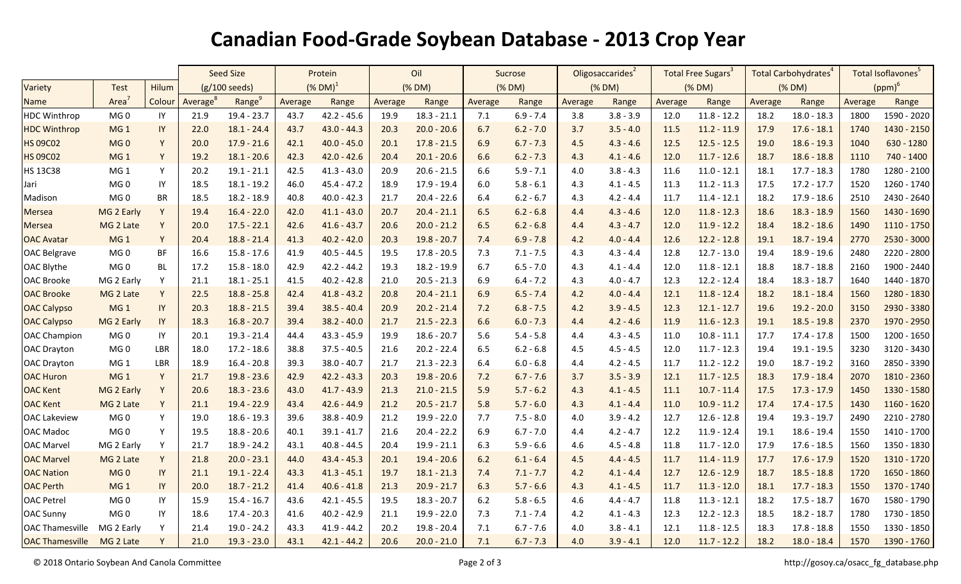## **Canadian Food-Grade Soybean Database - 2013 Crop Year**

|                        |                 |              | <b>Seed Size</b>     |                         | Protein        |               | Oil     |               | Sucrose |             | Oligosaccarides <sup>2</sup> |             | Total Free Sugars <sup>3</sup> |               | Total Carbohydrates <sup>4</sup> |               | Total Isoflavones <sup>5</sup> |             |  |
|------------------------|-----------------|--------------|----------------------|-------------------------|----------------|---------------|---------|---------------|---------|-------------|------------------------------|-------------|--------------------------------|---------------|----------------------------------|---------------|--------------------------------|-------------|--|
| Variety                | <b>Test</b>     | <b>Hilum</b> |                      | $(g/100 \text{ seeds})$ | $($ % DM $)^1$ |               | (% DM)  |               | (% DM)  |             |                              | (% DM)      |                                | (% DM)        |                                  | (% DM)        |                                | $(ppm)^6$   |  |
| <b>Name</b>            | Area            | Colour       | Average <sup>®</sup> | Range <sup>9</sup>      | Average        | Range         | Average | Range         | Average | Range       | Average                      | Range       | Average                        | Range         | Average                          | Range         | Average                        | Range       |  |
| <b>HDC Winthrop</b>    | MG <sub>0</sub> | IY           | 21.9                 | $19.4 - 23.7$           | 43.7           | $42.2 - 45.6$ | 19.9    | $18.3 - 21.1$ | 7.1     | $6.9 - 7.4$ | 3.8                          | $3.8 - 3.9$ | 12.0                           | $11.8 - 12.2$ | 18.2                             | $18.0 - 18.3$ | 1800                           | 1590 - 2020 |  |
| <b>HDC Winthrop</b>    | MG <sub>1</sub> | IY           | 22.0                 | $18.1 - 24.4$           | 43.7           | $43.0 - 44.3$ | 20.3    | $20.0 - 20.6$ | 6.7     | $6.2 - 7.0$ | 3.7                          | $3.5 - 4.0$ | 11.5                           | $11.2 - 11.9$ | 17.9                             | $17.6 - 18.1$ | 1740                           | 1430 - 2150 |  |
| <b>HS 09C02</b>        | MG <sub>0</sub> | Y            | 20.0                 | $17.9 - 21.6$           | 42.1           | $40.0 - 45.0$ | 20.1    | $17.8 - 21.5$ | 6.9     | $6.7 - 7.3$ | 4.5                          | $4.3 - 4.6$ | 12.5                           | $12.5 - 12.5$ | 19.0                             | $18.6 - 19.3$ | 1040                           | 630 - 1280  |  |
| <b>HS 09C02</b>        | MG <sub>1</sub> | Y            | 19.2                 | $18.1 - 20.6$           | 42.3           | $42.0 - 42.6$ | 20.4    | $20.1 - 20.6$ | 6.6     | $6.2 - 7.3$ | 4.3                          | $4.1 - 4.6$ | 12.0                           | $11.7 - 12.6$ | 18.7                             | $18.6 - 18.8$ | 1110                           | 740 - 1400  |  |
| HS 13C38               | MG <sub>1</sub> | Y            | 20.2                 | $19.1 - 21.1$           | 42.5           | $41.3 - 43.0$ | 20.9    | $20.6 - 21.5$ | 6.6     | $5.9 - 7.1$ | $4.0\,$                      | $3.8 - 4.3$ | 11.6                           | $11.0 - 12.1$ | 18.1                             | $17.7 - 18.3$ | 1780                           | 1280 - 2100 |  |
| Jari                   | MG <sub>0</sub> | IY           | 18.5                 | $18.1 - 19.2$           | 46.0           | $45.4 - 47.2$ | 18.9    | $17.9 - 19.4$ | 6.0     | $5.8 - 6.1$ | 4.3                          | $4.1 - 4.5$ | 11.3                           | $11.2 - 11.3$ | 17.5                             | $17.2 - 17.7$ | 1520                           | 1260 - 1740 |  |
| Madison                | MG <sub>0</sub> | <b>BR</b>    | 18.5                 | $18.2 - 18.9$           | 40.8           | $40.0 - 42.3$ | 21.7    | $20.4 - 22.6$ | 6.4     | $6.2 - 6.7$ | 4.3                          | $4.2 - 4.4$ | 11.7                           | $11.4 - 12.1$ | 18.2                             | $17.9 - 18.6$ | 2510                           | 2430 - 2640 |  |
| Mersea                 | MG 2 Early      | Y            | 19.4                 | $16.4 - 22.0$           | 42.0           | $41.1 - 43.0$ | 20.7    | $20.4 - 21.1$ | 6.5     | $6.2 - 6.8$ | 4.4                          | $4.3 - 4.6$ | 12.0                           | $11.8 - 12.3$ | 18.6                             | $18.3 - 18.9$ | 1560                           | 1430 - 1690 |  |
| Mersea                 | MG 2 Late       | Y            | 20.0                 | $17.5 - 22.1$           | 42.6           | $41.6 - 43.7$ | 20.6    | $20.0 - 21.2$ | 6.5     | $6.2 - 6.8$ | 4.4                          | $4.3 - 4.7$ | 12.0                           | $11.9 - 12.2$ | 18.4                             | $18.2 - 18.6$ | 1490                           | 1110 - 1750 |  |
| <b>OAC Avatar</b>      | MG <sub>1</sub> | Y            | 20.4                 | $18.8 - 21.4$           | 41.3           | $40.2 - 42.0$ | 20.3    | $19.8 - 20.7$ | 7.4     | $6.9 - 7.8$ | 4.2                          | $4.0 - 4.4$ | 12.6                           | $12.2 - 12.8$ | 19.1                             | $18.7 - 19.4$ | 2770                           | 2530 - 3000 |  |
| <b>OAC Belgrave</b>    | MG <sub>0</sub> | BF           | 16.6                 | $15.8 - 17.6$           | 41.9           | $40.5 - 44.5$ | 19.5    | $17.8 - 20.5$ | 7.3     | $7.1 - 7.5$ | 4.3                          | $4.3 - 4.4$ | 12.8                           | $12.7 - 13.0$ | 19.4                             | $18.9 - 19.6$ | 2480                           | 2220 - 2800 |  |
| OAC Blythe             | MG <sub>0</sub> | <b>BL</b>    | 17.2                 | $15.8 - 18.0$           | 42.9           | $42.2 - 44.2$ | 19.3    | $18.2 - 19.9$ | 6.7     | $6.5 - 7.0$ | 4.3                          | $4.1 - 4.4$ | 12.0                           | $11.8 - 12.1$ | 18.8                             | $18.7 - 18.8$ | 2160                           | 1900 - 2440 |  |
| <b>OAC Brooke</b>      | MG 2 Early      | Y            | 21.1                 | $18.1 - 25.1$           | 41.5           | $40.2 - 42.8$ | 21.0    | $20.5 - 21.3$ | 6.9     | $6.4 - 7.2$ | 4.3                          | $4.0 - 4.7$ | 12.3                           | $12.2 - 12.4$ | 18.4                             | $18.3 - 18.7$ | 1640                           | 1440 - 1870 |  |
| <b>OAC Brooke</b>      | MG 2 Late       | Y            | 22.5                 | $18.8 - 25.8$           | 42.4           | $41.8 - 43.2$ | 20.8    | $20.4 - 21.1$ | 6.9     | $6.5 - 7.4$ | 4.2                          | $4.0 - 4.4$ | 12.1                           | $11.8 - 12.4$ | 18.2                             | $18.1 - 18.4$ | 1560                           | 1280 - 1830 |  |
| <b>OAC Calypso</b>     | MG <sub>1</sub> | IY           | 20.3                 | $18.8 - 21.5$           | 39.4           | $38.5 - 40.4$ | 20.9    | $20.2 - 21.4$ | 7.2     | $6.8 - 7.5$ | 4.2                          | $3.9 - 4.5$ | 12.3                           | $12.1 - 12.7$ | 19.6                             | $19.2 - 20.0$ | 3150                           | 2930 - 3380 |  |
| <b>OAC Calypso</b>     | MG 2 Early      | IY           | 18.3                 | $16.8 - 20.7$           | 39.4           | $38.2 - 40.0$ | 21.7    | $21.5 - 22.3$ | 6.6     | $6.0 - 7.3$ | 4.4                          | $4.2 - 4.6$ | 11.9                           | $11.6 - 12.3$ | 19.1                             | $18.5 - 19.8$ | 2370                           | 1970 - 2950 |  |
| <b>OAC Champion</b>    | MG <sub>0</sub> | IY           | 20.1                 | $19.3 - 21.4$           | 44.4           | $43.3 - 45.9$ | 19.9    | $18.6 - 20.7$ | 5.6     | $5.4 - 5.8$ | 4.4                          | $4.3 - 4.5$ | 11.0                           | $10.8 - 11.1$ | 17.7                             | $17.4 - 17.8$ | 1500                           | 1200 - 1650 |  |
| <b>OAC Drayton</b>     | MG <sub>0</sub> | LBR          | 18.0                 | $17.2 - 18.6$           | 38.8           | $37.5 - 40.5$ | 21.6    | $20.2 - 22.4$ | 6.5     | $6.2 - 6.8$ | 4.5                          | $4.5 - 4.5$ | 12.0                           | $11.7 - 12.3$ | 19.4                             | $19.1 - 19.5$ | 3230                           | 3120 - 3430 |  |
| <b>OAC Drayton</b>     | MG <sub>1</sub> | LBR          | 18.9                 | $16.4 - 20.8$           | 39.3           | $38.0 - 40.7$ | 21.7    | $21.3 - 22.3$ | 6.4     | $6.0 - 6.8$ | 4.4                          | $4.2 - 4.5$ | 11.7                           | $11.2 - 12.2$ | 19.0                             | $18.7 - 19.2$ | 3160                           | 2850 - 3390 |  |
| <b>OAC Huron</b>       | MG <sub>1</sub> | Y            | 21.7                 | $19.8 - 23.6$           | 42.9           | $42.2 - 43.3$ | 20.3    | $19.8 - 20.6$ | 7.2     | $6.7 - 7.6$ | 3.7                          | $3.5 - 3.9$ | 12.1                           | $11.7 - 12.5$ | 18.3                             | $17.9 - 18.4$ | 2070                           | 1810 - 2360 |  |
| <b>OAC Kent</b>        | MG 2 Early      | Y            | 20.6                 | $18.3 - 23.6$           | 43.0           | $41.7 - 43.9$ | 21.3    | $21.0 - 21.5$ | 5.9     | $5.7 - 6.2$ | 4.3                          | $4.1 - 4.5$ | 11.1                           | $10.7 - 11.4$ | 17.5                             | $17.3 - 17.9$ | 1450                           | 1330 - 1580 |  |
| <b>OAC Kent</b>        | MG 2 Late       | Y            | 21.1                 | $19.4 - 22.9$           | 43.4           | $42.6 - 44.9$ | 21.2    | $20.5 - 21.7$ | 5.8     | $5.7 - 6.0$ | 4.3                          | $4.1 - 4.4$ | 11.0                           | $10.9 - 11.2$ | 17.4                             | $17.4 - 17.5$ | 1430                           | 1160 - 1620 |  |
| <b>OAC Lakeview</b>    | MG <sub>0</sub> | Y            | 19.0                 | $18.6 - 19.3$           | 39.6           | $38.8 - 40.9$ | 21.2    | $19.9 - 22.0$ | 7.7     | $7.5 - 8.0$ | 4.0                          | $3.9 - 4.2$ | 12.7                           | $12.6 - 12.8$ | 19.4                             | $19.3 - 19.7$ | 2490                           | 2210 - 2780 |  |
| <b>OAC Madoc</b>       | MG <sub>0</sub> | Y            | 19.5                 | $18.8 - 20.6$           | 40.1           | $39.1 - 41.7$ | 21.6    | $20.4 - 22.2$ | 6.9     | $6.7 - 7.0$ | 4.4                          | $4.2 - 4.7$ | 12.2                           | $11.9 - 12.4$ | 19.1                             | $18.6 - 19.4$ | 1550                           | 1410 - 1700 |  |
| <b>OAC Marvel</b>      | MG 2 Early      | Y            | 21.7                 | $18.9 - 24.2$           | 43.1           | $40.8 - 44.5$ | 20.4    | $19.9 - 21.1$ | 6.3     | $5.9 - 6.6$ | 4.6                          | $4.5 - 4.8$ | 11.8                           | $11.7 - 12.0$ | 17.9                             | $17.6 - 18.5$ | 1560                           | 1350 - 1830 |  |
| <b>OAC Marvel</b>      | MG 2 Late       | Y            | 21.8                 | $20.0 - 23.1$           | 44.0           | $43.4 - 45.3$ | 20.1    | $19.4 - 20.6$ | 6.2     | $6.1 - 6.4$ | 4.5                          | $4.4 - 4.5$ | 11.7                           | $11.4 - 11.9$ | 17.7                             | $17.6 - 17.9$ | 1520                           | 1310 - 1720 |  |
| <b>OAC Nation</b>      | MG <sub>0</sub> | IY           | 21.1                 | $19.1 - 22.4$           | 43.3           | $41.3 - 45.1$ | 19.7    | $18.1 - 21.3$ | 7.4     | $7.1 - 7.7$ | 4.2                          | $4.1 - 4.4$ | 12.7                           | $12.6 - 12.9$ | 18.7                             | $18.5 - 18.8$ | 1720                           | 1650 - 1860 |  |
| <b>OAC Perth</b>       | MG <sub>1</sub> | IY           | 20.0                 | $18.7 - 21.2$           | 41.4           | $40.6 - 41.8$ | 21.3    | $20.9 - 21.7$ | 6.3     | $5.7 - 6.6$ | 4.3                          | $4.1 - 4.5$ | 11.7                           | $11.3 - 12.0$ | 18.1                             | $17.7 - 18.3$ | 1550                           | 1370 - 1740 |  |
| <b>OAC Petrel</b>      | MG <sub>0</sub> | IY           | 15.9                 | $15.4 - 16.7$           | 43.6           | $42.1 - 45.5$ | 19.5    | $18.3 - 20.7$ | $6.2$   | $5.8 - 6.5$ | 4.6                          | $4.4 - 4.7$ | 11.8                           | $11.3 - 12.1$ | 18.2                             | $17.5 - 18.7$ | 1670                           | 1580 - 1790 |  |
| <b>OAC Sunny</b>       | MG <sub>0</sub> | IY           | 18.6                 | $17.4 - 20.3$           | 41.6           | $40.2 - 42.9$ | 21.1    | 19.9 - 22.0   | 7.3     | $7.1 - 7.4$ | 4.2                          | $4.1 - 4.3$ | 12.3                           | $12.2 - 12.3$ | 18.5                             | $18.2 - 18.7$ | 1780                           | 1730 - 1850 |  |
| <b>OAC Thamesville</b> | MG 2 Early      | Y            | 21.4                 | $19.0 - 24.2$           | 43.3           | $41.9 - 44.2$ | 20.2    | $19.8 - 20.4$ | 7.1     | $6.7 - 7.6$ | 4.0                          | $3.8 - 4.1$ | 12.1                           | $11.8 - 12.5$ | 18.3                             | $17.8 - 18.8$ | 1550                           | 1330 - 1850 |  |
| <b>OAC Thamesville</b> | MG 2 Late       | V            | 21.0                 | $19.3 - 23.0$           | 43.1           | $42.1 - 44.2$ | 20.6    | $20.0 - 21.0$ | 7.1     | $6.7 - 7.3$ | 4.0                          | $3.9 - 4.1$ | 12.0                           | $11.7 - 12.2$ | 18.2                             | $18.0 - 18.4$ | 1570                           | 1390 - 1760 |  |